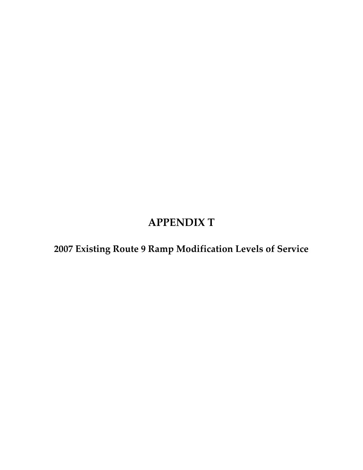## **APPENDIX T**

**2007 Existing Route 9 Ramp Modification Levels of Service**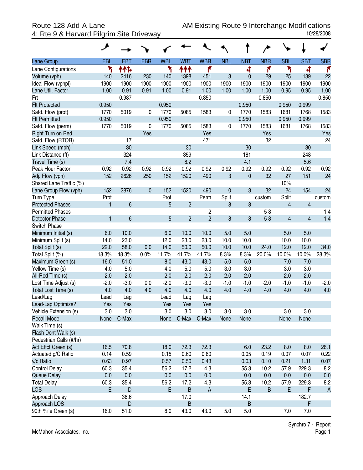4: Rte 9 & Harvard Pilgrim Site Driveway

| Lane Group              | EBL    | <b>EBT</b>      | <b>EBR</b>   | <b>WBL</b> | <b>WBT</b>     | <b>WBR</b>     | <b>NBL</b>  | <b>NBT</b>   | <b>NBR</b> | <b>SBL</b>              | <b>SBT</b>     | <b>SBR</b>     |
|-------------------------|--------|-----------------|--------------|------------|----------------|----------------|-------------|--------------|------------|-------------------------|----------------|----------------|
| Lane Configurations     | ۳      | ተተኈ             |              | ۲          | ተተተ            | ۴              |             | 4            | ۴          | ۲                       | 4              | ۴              |
| Volume (vph)            | 140    | 2416            | 230          | 140        | 1398           | 451            | 3           | $\mathbf{0}$ | 29         | 25                      | 139            | 22             |
| Ideal Flow (vphpl)      | 1900   | 1900            | 1900         | 1900       | 1900           | 1900           | 1900        | 1900         | 1900       | 1900                    | 1900           | 1900           |
| Lane Util. Factor       | 1.00   | 0.91            | 0.91         | 1.00       | 0.91           | 1.00           | 1.00        | 1.00         | 1.00       | 0.95                    | 0.95           | 1.00           |
| Frt                     |        | 0.987           |              |            |                | 0.850          |             |              | 0.850      |                         |                | 0.850          |
| <b>Flt Protected</b>    | 0.950  |                 |              | 0.950      |                |                |             | 0.950        |            | 0.950                   | 0.999          |                |
| Satd. Flow (prot)       | 1770   | 5019            | 0            | 1770       | 5085           | 1583           | 0           | 1770         | 1583       | 1681                    | 1768           | 1583           |
| <b>Flt Permitted</b>    | 0.950  |                 |              | 0.950      |                |                |             | 0.950        |            | 0.950                   | 0.999          |                |
| Satd. Flow (perm)       | 1770   | 5019            | 0            | 1770       | 5085           | 1583           | 0           | 1770         | 1583       | 1681                    | 1768           | 1583           |
| Right Turn on Red       |        |                 | Yes          |            |                | Yes            |             |              | Yes        |                         |                | Yes            |
| Satd. Flow (RTOR)       |        | 17              |              |            |                | 471            |             |              | 32         |                         |                | 24             |
| Link Speed (mph)        |        | 30              |              |            | 30             |                |             | 30           |            |                         | 30             |                |
| Link Distance (ft)      |        | 324             |              |            | 359            |                |             | 181          |            |                         | 248            |                |
| Travel Time (s)         |        | 7.4             |              |            | 8.2            |                |             | 4.1          |            |                         | 5.6            |                |
| Peak Hour Factor        | 0.92   | 0.92            | 0.92         | 0.92       | 0.92           | 0.92           | 0.92        | 0.92         | 0.92       | 0.92                    | 0.92           | 0.92           |
| Adj. Flow (vph)         | 152    | 2626            | 250          | 152        | 1520           | 490            | 3           | $\pmb{0}$    | 32         | 27                      | 151            | 24             |
| Shared Lane Traffic (%) |        |                 |              |            |                |                |             |              |            | 10%                     |                |                |
| Lane Group Flow (vph)   | 152    | 2876            | $\mathbf{0}$ | 152        | 1520           | 490            | $\mathbf 0$ | 3            | 32         | 24                      | 154            | 24             |
| Turn Type               | Prot   |                 |              | Prot       |                | Perm           | Split       |              | custom     | Split                   |                | custom         |
| <b>Protected Phases</b> | 1      | $6\phantom{a}$  |              | 5          | $\overline{2}$ |                | 8           | 8            |            | 4                       | $\overline{4}$ |                |
| <b>Permitted Phases</b> |        |                 |              |            |                | 2              |             |              | 58         |                         |                | 14             |
| <b>Detector Phase</b>   | 1      | $6\phantom{1}6$ |              | 5          | $\overline{2}$ | $\overline{2}$ | 8           | 8            | 58         | $\overline{\mathbf{4}}$ | $\overline{4}$ | 14             |
| Switch Phase            |        |                 |              |            |                |                |             |              |            |                         |                |                |
| Minimum Initial (s)     | 6.0    | 10.0            |              | 6.0        | 10.0           | 10.0           | 5.0         | 5.0          |            | 5.0                     | 5.0            |                |
| Minimum Split (s)       | 14.0   | 23.0            |              | 12.0       | 23.0           | 23.0           | 10.0        | 10.0         |            | 10.0                    | 10.0           |                |
| Total Split (s)         | 22.0   | 58.0            | 0.0          | 14.0       | 50.0           | 50.0           | 10.0        | 10.0         | 24.0       | 12.0                    | 12.0           | 34.0           |
| Total Split (%)         | 18.3%  | 48.3%           | 0.0%         | 11.7%      | 41.7%          | 41.7%          | 8.3%        | 8.3%         | 20.0%      | 10.0%                   | 10.0%          | 28.3%          |
| Maximum Green (s)       | 16.0   | 51.0            |              | 8.0        | 43.0           | 43.0           | 5.0         | 5.0          |            | 7.0                     | 7.0            |                |
| Yellow Time (s)         | 4.0    | 5.0             |              | 4.0        | 5.0            | 5.0            | 3.0         | 3.0          |            | 3.0                     | 3.0            |                |
| All-Red Time (s)        | 2.0    | 2.0             |              | 2.0        | 2.0            | 2.0            | 2.0         | 2.0          |            | 2.0                     | 2.0            |                |
| Lost Time Adjust (s)    | $-2.0$ | $-3.0$          | 0.0          | $-2.0$     | $-3.0$         | $-3.0$         | $-1.0$      | $-1.0$       | $-2.0$     | $-1.0$                  | $-1.0$         | $-2.0$         |
| Total Lost Time (s)     | 4.0    | 4.0             | 4.0          | 4.0        | 4.0            | 4.0            | 4.0         | 4.0          | 4.0        | 4.0                     | 4.0            | 4.0            |
| Lead/Lag                | Lead   | Lag             |              | Lead       | Lag            | Lag            |             |              |            |                         |                |                |
| Lead-Lag Optimize?      | Yes    | Yes             |              | Yes        | Yes            | Yes            |             |              |            |                         |                |                |
| Vehicle Extension (s)   | 3.0    | 3.0             |              | 3.0        | 3.0            | 3.0            | 3.0         | 3.0          |            | 3.0                     | 3.0            |                |
| <b>Recall Mode</b>      | None   | C-Max           |              | None       | C-Max          | C-Max          | None        | None         |            | None                    | None           |                |
| Walk Time (s)           |        |                 |              |            |                |                |             |              |            |                         |                |                |
| Flash Dont Walk (s)     |        |                 |              |            |                |                |             |              |            |                         |                |                |
| Pedestrian Calls (#/hr) |        |                 |              |            |                |                |             |              |            |                         |                |                |
| Act Effct Green (s)     | 16.5   | 70.8            |              | 18.0       | 72.3           | 72.3           |             | 6.0          | 23.2       | 8.0                     | 8.0            | 26.1           |
| Actuated g/C Ratio      | 0.14   | 0.59            |              | 0.15       | 0.60           | 0.60           |             | 0.05         | 0.19       | 0.07                    | 0.07           | 0.22           |
| v/c Ratio               | 0.63   | 0.97            |              | 0.57       | 0.50           | 0.43           |             | 0.03         | 0.10       | 0.21                    | 1.31           | 0.07           |
| <b>Control Delay</b>    | 60.3   | 35.4            |              | 56.2       | 17.2           | 4.3            |             | 55.3         | 10.2       | 57.9                    | 229.3          | 8.2            |
| Queue Delay             | 0.0    | 0.0             |              | 0.0        | 0.0            | 0.0            |             | 0.0          | 0.0        | 0.0                     | 0.0            | 0.0            |
| <b>Total Delay</b>      | 60.3   | 35.4            |              | 56.2       | 17.2           | 4.3            |             | 55.3         | 10.2       | 57.9                    | 229.3          | 8.2            |
| LOS                     | E      | D               |              | E          | B              | $\mathsf{A}$   |             | E            | B          | E                       | F              | $\overline{A}$ |
| Approach Delay          |        | 36.6            |              |            | 17.0           |                |             | 14.1         |            |                         | 182.7          |                |
| Approach LOS            |        | D               |              |            | B              |                |             | B            |            |                         | F              |                |
| 90th %ile Green (s)     | 16.0   | 51.0            |              | 8.0        | 43.0           | 43.0           | 5.0         | 5.0          |            | 7.0                     | 7.0            |                |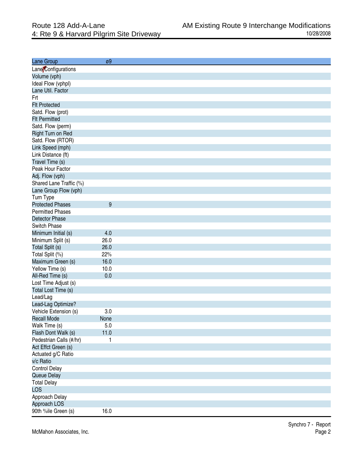| Lane Group              | ø9      |
|-------------------------|---------|
| Lane Configurations     |         |
| Volume (vph)            |         |
| Ideal Flow (vphpl)      |         |
| Lane Util. Factor       |         |
| Frt                     |         |
| <b>Flt Protected</b>    |         |
| Satd. Flow (prot)       |         |
| <b>Flt Permitted</b>    |         |
| Satd. Flow (perm)       |         |
| Right Turn on Red       |         |
| Satd. Flow (RTOR)       |         |
| Link Speed (mph)        |         |
| Link Distance (ft)      |         |
| Travel Time (s)         |         |
| Peak Hour Factor        |         |
| Adj. Flow (vph)         |         |
| Shared Lane Traffic (%) |         |
| Lane Group Flow (vph)   |         |
| Turn Type               |         |
| <b>Protected Phases</b> | 9       |
| <b>Permitted Phases</b> |         |
| <b>Detector Phase</b>   |         |
| Switch Phase            |         |
| Minimum Initial (s)     | 4.0     |
| Minimum Split (s)       | 26.0    |
| Total Split (s)         | 26.0    |
| Total Split (%)         | 22%     |
| Maximum Green (s)       | 16.0    |
| Yellow Time (s)         | 10.0    |
| All-Red Time (s)        | 0.0     |
| Lost Time Adjust (s)    |         |
| Total Lost Time (s)     |         |
| Lead/Lag                |         |
| Lead-Lag Optimize?      |         |
| Vehicle Extension (s)   | 3.0     |
| <b>Recall Mode</b>      | None    |
| Walk Time (s)           | $5.0\,$ |
| Flash Dont Walk (s)     | 11.0    |
| Pedestrian Calls (#/hr) | 1       |
| Act Effct Green (s)     |         |
| Actuated g/C Ratio      |         |
| v/c Ratio               |         |
| <b>Control Delay</b>    |         |
| Queue Delay             |         |
| <b>Total Delay</b>      |         |
| <b>LOS</b>              |         |
| Approach Delay          |         |
| Approach LOS            |         |
| 90th %ile Green (s)     | 16.0    |
|                         |         |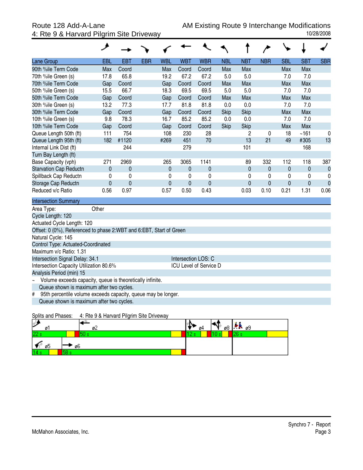|                                                                     | ◢          |             |            |            |             |                        |            |             |             |             |              |             |
|---------------------------------------------------------------------|------------|-------------|------------|------------|-------------|------------------------|------------|-------------|-------------|-------------|--------------|-------------|
| Lane Group                                                          | <b>EBL</b> | <b>EBT</b>  | <b>EBR</b> | <b>WBL</b> | <b>WBT</b>  | <b>WBR</b>             | <b>NBL</b> | <b>NBT</b>  | <b>NBR</b>  | <b>SBL</b>  | <b>SBT</b>   | <b>SBR</b>  |
| 90th %ile Term Code                                                 | Max        | Coord       |            | Max        | Coord       | Coord                  | Max        | Max         |             | Max         | Max          |             |
| 70th %ile Green (s)                                                 | 17.8       | 65.8        |            | 19.2       | 67.2        | 67.2                   | 5.0        | 5.0         |             | 7.0         | 7.0          |             |
| 70th %ile Term Code                                                 | Gap        | Coord       |            | Gap        | Coord       | Coord                  | Max        | Max         |             | Max         | Max          |             |
| 50th %ile Green (s)                                                 | 15.5       | 66.7        |            | 18.3       | 69.5        | 69.5                   | 5.0        | 5.0         |             | 7.0         | 7.0          |             |
| 50th %ile Term Code                                                 | Gap        | Coord       |            | Gap        | Coord       | Coord                  | Max        | Max         |             | Max         | Max          |             |
| 30th %ile Green (s)                                                 | 13.2       | 77.3        |            | 17.7       | 81.8        | 81.8                   | 0.0        | 0.0         |             | 7.0         | 7.0          |             |
| 30th %ile Term Code                                                 | Gap        | Coord       |            | Gap        | Coord       | Coord                  | Skip       | Skip        |             | Max         | Max          |             |
| 10th %ile Green (s)                                                 | 9.8        | 78.3        |            | 16.7       | 85.2        | 85.2                   | 0.0        | 0.0         |             | 7.0         | 7.0          |             |
| 10th %ile Term Code                                                 | Gap        | Coord       |            | Gap        | Coord       | Coord                  | Skip       | Skip        |             | Max         | Max          |             |
| Queue Length 50th (ft)                                              | 111        | 754         |            | 108        | 230         | 28                     |            | 2           | 0           | 18          | ~161         | 0           |
| Queue Length 95th (ft)                                              | 182        | #1120       |            | #269       | 451         | 70                     |            | 13          | 21          | 49          | #305         | 13          |
| Internal Link Dist (ft)                                             |            | 244         |            |            | 279         |                        |            | 101         |             |             | 168          |             |
| Turn Bay Length (ft)                                                |            |             |            |            |             |                        |            |             |             |             |              |             |
| Base Capacity (vph)                                                 | 271        | 2969        |            | 265        | 3065        | 1141                   |            | 89          | 332         | 112         | 118          | 387         |
| <b>Starvation Cap Reductn</b>                                       | 0          | $\mathbf 0$ |            | 0          | $\mathbf 0$ | $\mathbf 0$            |            | $\mathbf 0$ | $\mathbf 0$ | $\mathbf 0$ | $\mathbf{0}$ | $\mathbf 0$ |
| Spillback Cap Reductn                                               | 0          | 0           |            | 0          | 0           | $\mathbf 0$            |            | 0           | 0           | $\pmb{0}$   | 0            | 0           |
| Storage Cap Reductn                                                 | 0          | $\pmb{0}$   |            | 0          | $\mathbf 0$ | $\mathbf{0}$           |            | $\mathbf 0$ | $\mathbf 0$ | 0           | 0            | $\mathbf 0$ |
| Reduced v/c Ratio                                                   | 0.56       | 0.97        |            | 0.57       | 0.50        | 0.43                   |            | 0.03        | 0.10        | 0.21        | 1.31         | 0.06        |
| <b>Intersection Summary</b>                                         |            |             |            |            |             |                        |            |             |             |             |              |             |
| Area Type:                                                          | Other      |             |            |            |             |                        |            |             |             |             |              |             |
| Cycle Length: 120                                                   |            |             |            |            |             |                        |            |             |             |             |              |             |
| Actuated Cycle Length: 120                                          |            |             |            |            |             |                        |            |             |             |             |              |             |
| Offset: 0 (0%), Referenced to phase 2:WBT and 6:EBT, Start of Green |            |             |            |            |             |                        |            |             |             |             |              |             |
| Natural Cycle: 145                                                  |            |             |            |            |             |                        |            |             |             |             |              |             |
| Control Type: Actuated-Coordinated                                  |            |             |            |            |             |                        |            |             |             |             |              |             |
| Maximum v/c Ratio: 1.31                                             |            |             |            |            |             |                        |            |             |             |             |              |             |
| Intersection Signal Delay: 34.1                                     |            |             |            |            |             | Intersection LOS: C    |            |             |             |             |              |             |
| Intersection Capacity Utilization 80.6%                             |            |             |            |            |             | ICU Level of Service D |            |             |             |             |              |             |
| Analysis Period (min) 15                                            |            |             |            |            |             |                        |            |             |             |             |              |             |
| Volume exceeds capacity, queue is theoretically infinite.<br>$\sim$ |            |             |            |            |             |                        |            |             |             |             |              |             |
| Queue shown is maximum after two cycles.                            |            |             |            |            |             |                        |            |             |             |             |              |             |
| 95th percentile volume exceeds capacity, queue may be longer.<br>#  |            |             |            |            |             |                        |            |             |             |             |              |             |
| Queue shown is maximum after two cycles.                            |            |             |            |            |             |                        |            |             |             |             |              |             |

### Splits and Phases: 4: Rte 9 & Harvard Pilgrim Site Driveway

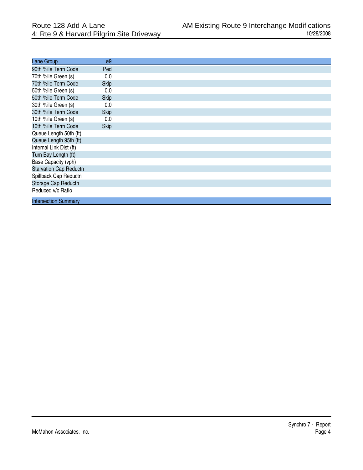| Lane Group                    | $\varnothing9$ |
|-------------------------------|----------------|
| 90th %ile Term Code           | Ped            |
| 70th %ile Green (s)           | 0.0            |
| 70th %ile Term Code           | <b>Skip</b>    |
| 50th %ile Green (s)           | 0.0            |
| 50th %ile Term Code           | <b>Skip</b>    |
| 30th %ile Green (s)           | 0.0            |
| 30th %ile Term Code           | <b>Skip</b>    |
| 10th %ile Green (s)           | 0.0            |
| 10th %ile Term Code           | <b>Skip</b>    |
| Queue Length 50th (ft)        |                |
| Queue Length 95th (ft)        |                |
| Internal Link Dist (ft)       |                |
| Turn Bay Length (ft)          |                |
| Base Capacity (vph)           |                |
| <b>Starvation Cap Reductn</b> |                |
| Spillback Cap Reductn         |                |
| Storage Cap Reductn           |                |
| Reduced v/c Ratio             |                |
| <b>Intersection Summary</b>   |                |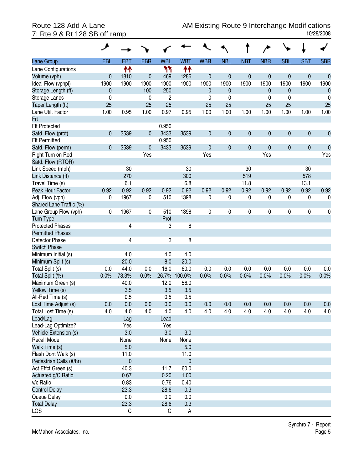| Lane Group              | <b>EBL</b>   | <b>EBT</b>  | <b>EBR</b>   | <b>WBL</b>     | <b>WBT</b> | <b>WBR</b>   | <b>NBL</b>   | <b>NBT</b>  | <b>NBR</b> | <b>SBL</b>   | <b>SBT</b> | <b>SBR</b>       |
|-------------------------|--------------|-------------|--------------|----------------|------------|--------------|--------------|-------------|------------|--------------|------------|------------------|
| Lane Configurations     |              | ↟↟          |              | ካካ             | ↟↟         |              |              |             |            |              |            |                  |
| Volume (vph)            | $\mathbf{0}$ | 1810        | $\mathbf{0}$ | 469            | 1286       | $\mathbf 0$  | $\mathbf 0$  | $\mathbf 0$ | 0          | $\pmb{0}$    | $\pmb{0}$  | $\mathbf{0}$     |
| Ideal Flow (vphpl)      | 1900         | 1900        | 1900         | 1900           | 1900       | 1900         | 1900         | 1900        | 1900       | 1900         | 1900       | 1900             |
| Storage Length (ft)     | $\mathbf{0}$ |             | 100          | 250            |            | $\mathbf{0}$ | $\mathbf{0}$ |             | 0          | $\mathbf{0}$ |            | $\boldsymbol{0}$ |
| Storage Lanes           | 0            |             | $\mathbf 0$  | $\overline{c}$ |            | 0            | 0            |             | 0          | 0            |            | 0                |
| Taper Length (ft)       | 25           |             | 25           | 25             |            | 25           | 25           |             | 25         | 25           |            | 25               |
| Lane Util. Factor       | 1.00         | 0.95        | 1.00         | 0.97           | 0.95       | 1.00         | 1.00         | 1.00        | 1.00       | 1.00         | 1.00       | 1.00             |
| Frt                     |              |             |              |                |            |              |              |             |            |              |            |                  |
| <b>Flt Protected</b>    |              |             |              | 0.950          |            |              |              |             |            |              |            |                  |
| Satd. Flow (prot)       | 0            | 3539        | $\mathbf{0}$ | 3433           | 3539       | $\pmb{0}$    | $\mathbf{0}$ | $\pmb{0}$   | 0          | $\pmb{0}$    | $\pmb{0}$  | $\pmb{0}$        |
| <b>Flt Permitted</b>    |              |             |              | 0.950          |            |              |              |             |            |              |            |                  |
| Satd. Flow (perm)       | 0            | 3539        | $\mathbf 0$  | 3433           | 3539       | $\pmb{0}$    | $\mathbf{0}$ | $\pmb{0}$   | 0          | $\pmb{0}$    | $\pmb{0}$  | $\pmb{0}$        |
| Right Turn on Red       |              |             | Yes          |                |            | Yes          |              |             | Yes        |              |            | Yes              |
| Satd. Flow (RTOR)       |              |             |              |                |            |              |              |             |            |              |            |                  |
| Link Speed (mph)        |              | 30          |              |                | 30         |              |              | 30          |            |              | 30         |                  |
| Link Distance (ft)      |              | 270         |              |                | 300        |              |              | 519         |            |              | 578        |                  |
| Travel Time (s)         |              | 6.1         |              |                | 6.8        |              |              | 11.8        |            |              | 13.1       |                  |
| Peak Hour Factor        | 0.92         | 0.92        | 0.92         | 0.92           | 0.92       | 0.92         | 0.92         | 0.92        | 0.92       | 0.92         | 0.92       | 0.92             |
| Adj. Flow (vph)         | 0            | 1967        | 0            | 510            | 1398       | 0            | 0            | 0           | 0          | 0            | 0          | 0                |
| Shared Lane Traffic (%) |              |             |              |                |            |              |              |             |            |              |            |                  |
| Lane Group Flow (vph)   | 0            | 1967        | $\pmb{0}$    | 510            | 1398       | 0            | 0            | 0           | 0          | $\pmb{0}$    | 0          | 0                |
| <b>Turn Type</b>        |              |             |              | Prot           |            |              |              |             |            |              |            |                  |
| <b>Protected Phases</b> |              | 4           |              | 3              | 8          |              |              |             |            |              |            |                  |
| <b>Permitted Phases</b> |              |             |              |                |            |              |              |             |            |              |            |                  |
| Detector Phase          |              | 4           |              | 3              | 8          |              |              |             |            |              |            |                  |
| <b>Switch Phase</b>     |              |             |              |                |            |              |              |             |            |              |            |                  |
| Minimum Initial (s)     |              | 4.0         |              | 4.0            | 4.0        |              |              |             |            |              |            |                  |
| Minimum Split (s)       |              | 20.0        |              | 8.0            | 20.0       |              |              |             |            |              |            |                  |
| Total Split (s)         | 0.0          | 44.0        | 0.0          | 16.0           | 60.0       | 0.0          | 0.0          | 0.0         | 0.0        | 0.0          | 0.0        | 0.0              |
| Total Split (%)         | 0.0%         | 73.3%       | 0.0%         | 26.7%          | 100.0%     | 0.0%         | 0.0%         | 0.0%        | 0.0%       | 0.0%         | 0.0%       | 0.0%             |
| Maximum Green (s)       |              | 40.0        |              | 12.0           | 56.0       |              |              |             |            |              |            |                  |
| Yellow Time (s)         |              | 3.5         |              | 3.5            | 3.5        |              |              |             |            |              |            |                  |
| All-Red Time (s)        |              | 0.5         |              | 0.5            | 0.5        |              |              |             |            |              |            |                  |
| Lost Time Adjust (s)    | 0.0          | 0.0         | 0.0          | 0.0            | 0.0        | 0.0          | 0.0          | 0.0         | 0.0        | 0.0          | 0.0        | 0.0              |
| Total Lost Time (s)     | 4.0          | 4.0         | 4.0          | 4.0            | 4.0        | 4.0          | 4.0          | 4.0         | 4.0        | 4.0          | 4.0        | 4.0              |
| Lead/Lag                |              | Lag         |              | Lead           |            |              |              |             |            |              |            |                  |
| Lead-Lag Optimize?      |              | Yes         |              | Yes            |            |              |              |             |            |              |            |                  |
| Vehicle Extension (s)   |              | 3.0         |              | 3.0            | 3.0        |              |              |             |            |              |            |                  |
| Recall Mode             |              | None        |              | None           | None       |              |              |             |            |              |            |                  |
| Walk Time (s)           |              | 5.0         |              |                | 5.0        |              |              |             |            |              |            |                  |
| Flash Dont Walk (s)     |              | 11.0        |              |                | 11.0       |              |              |             |            |              |            |                  |
| Pedestrian Calls (#/hr) |              | $\mathbf 0$ |              |                | $\pmb{0}$  |              |              |             |            |              |            |                  |
| Act Effct Green (s)     |              | 40.3        |              | 11.7           | 60.0       |              |              |             |            |              |            |                  |
| Actuated g/C Ratio      |              | 0.67        |              | 0.20           | 1.00       |              |              |             |            |              |            |                  |
| v/c Ratio               |              | 0.83        |              | 0.76           | 0.40       |              |              |             |            |              |            |                  |
| <b>Control Delay</b>    |              | 23.3        |              | 28.6           | 0.3        |              |              |             |            |              |            |                  |
| Queue Delay             |              | 0.0         |              | 0.0            | 0.0        |              |              |             |            |              |            |                  |
| <b>Total Delay</b>      |              | 23.3        |              | 28.6           | 0.3        |              |              |             |            |              |            |                  |
| LOS                     |              | С           |              | C              | A          |              |              |             |            |              |            |                  |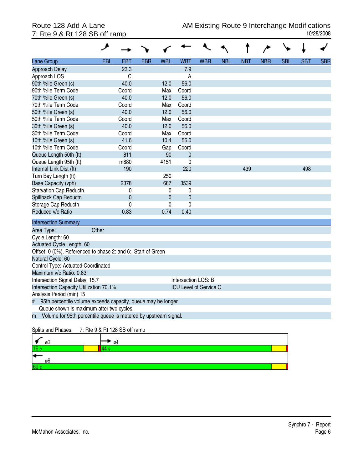## 7: Rte 9 & Rt 128 SB off ramp

| Lane Group                                                           | <b>EBL</b> | <b>EBT</b>  | <b>EBR</b> | <b>WBL</b>  | <b>WBT</b>          | <b>WBR</b>                    | <b>NBL</b> | <b>NBT</b> | <b>NBR</b> | <b>SBL</b> | <b>SBT</b> | <b>SBR</b> |
|----------------------------------------------------------------------|------------|-------------|------------|-------------|---------------------|-------------------------------|------------|------------|------------|------------|------------|------------|
| Approach Delay                                                       |            | 23.3        |            |             | 7.9                 |                               |            |            |            |            |            |            |
| Approach LOS                                                         |            | C           |            |             | A                   |                               |            |            |            |            |            |            |
| 90th %ile Green (s)                                                  |            | 40.0        |            | 12.0        | 56.0                |                               |            |            |            |            |            |            |
| 90th %ile Term Code                                                  |            | Coord       |            | Max         | Coord               |                               |            |            |            |            |            |            |
| 70th %ile Green (s)                                                  |            | 40.0        |            | 12.0        | 56.0                |                               |            |            |            |            |            |            |
| 70th %ile Term Code                                                  |            | Coord       |            | Max         | Coord               |                               |            |            |            |            |            |            |
| 50th %ile Green (s)                                                  |            | 40.0        |            | 12.0        | 56.0                |                               |            |            |            |            |            |            |
| 50th %ile Term Code                                                  |            | Coord       |            | Max         | Coord               |                               |            |            |            |            |            |            |
| 30th %ile Green (s)                                                  |            | 40.0        |            | 12.0        | 56.0                |                               |            |            |            |            |            |            |
| 30th %ile Term Code                                                  |            | Coord       |            | Max         | Coord               |                               |            |            |            |            |            |            |
| 10th %ile Green (s)                                                  |            | 41.6        |            | 10.4        | 56.0                |                               |            |            |            |            |            |            |
| 10th %ile Term Code                                                  |            | Coord       |            | Gap         | Coord               |                               |            |            |            |            |            |            |
| Queue Length 50th (ft)                                               |            | 811         |            | 90          | $\mathbf 0$         |                               |            |            |            |            |            |            |
| Queue Length 95th (ft)                                               |            | m880        |            | #151        | $\mathbf 0$         |                               |            |            |            |            |            |            |
| Internal Link Dist (ft)                                              |            | 190         |            |             | 220                 |                               |            | 439        |            |            | 498        |            |
| Turn Bay Length (ft)                                                 |            |             |            | 250         |                     |                               |            |            |            |            |            |            |
| Base Capacity (vph)                                                  |            | 2378        |            | 687         | 3539                |                               |            |            |            |            |            |            |
| <b>Starvation Cap Reductn</b>                                        |            | 0           |            | 0           | 0                   |                               |            |            |            |            |            |            |
| Spillback Cap Reductn                                                |            | $\mathbf 0$ |            | $\mathbf 0$ | 0                   |                               |            |            |            |            |            |            |
| Storage Cap Reductn                                                  |            | 0           |            | $\pmb{0}$   | $\mathbf 0$         |                               |            |            |            |            |            |            |
| Reduced v/c Ratio                                                    |            | 0.83        |            | 0.74        | 0.40                |                               |            |            |            |            |            |            |
| <b>Intersection Summary</b>                                          |            |             |            |             |                     |                               |            |            |            |            |            |            |
| Area Type:                                                           | Other      |             |            |             |                     |                               |            |            |            |            |            |            |
| Cycle Length: 60                                                     |            |             |            |             |                     |                               |            |            |            |            |            |            |
| Actuated Cycle Length: 60                                            |            |             |            |             |                     |                               |            |            |            |            |            |            |
| Offset: 0 (0%), Referenced to phase 2: and 6:, Start of Green        |            |             |            |             |                     |                               |            |            |            |            |            |            |
| Natural Cycle: 60                                                    |            |             |            |             |                     |                               |            |            |            |            |            |            |
| Control Type: Actuated-Coordinated                                   |            |             |            |             |                     |                               |            |            |            |            |            |            |
| Maximum v/c Ratio: 0.83                                              |            |             |            |             |                     |                               |            |            |            |            |            |            |
| Intersection Signal Delay: 15.7                                      |            |             |            |             | Intersection LOS: B |                               |            |            |            |            |            |            |
| Intersection Capacity Utilization 70.1%                              |            |             |            |             |                     | <b>ICU Level of Service C</b> |            |            |            |            |            |            |
| Analysis Period (min) 15                                             |            |             |            |             |                     |                               |            |            |            |            |            |            |
| 95th percentile volume exceeds capacity, queue may be longer.<br>#   |            |             |            |             |                     |                               |            |            |            |            |            |            |
| Queue shown is maximum after two cycles.                             |            |             |            |             |                     |                               |            |            |            |            |            |            |
| Volume for 95th percentile queue is metered by upstream signal.<br>m |            |             |            |             |                     |                               |            |            |            |            |            |            |
|                                                                      |            |             |            |             |                     |                               |            |            |            |            |            |            |

Splits and Phases: 7: Rte 9 & Rt 128 SB off ramp

| øЗ       | 04 |  |
|----------|----|--|
| 16.<br>. |    |  |
| ю<br>øŏ  |    |  |
| 60       |    |  |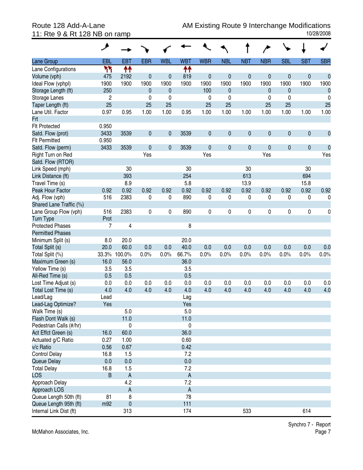|                                                | حر             |                           |              |             |            |             |              |             |            |              |            |                  |
|------------------------------------------------|----------------|---------------------------|--------------|-------------|------------|-------------|--------------|-------------|------------|--------------|------------|------------------|
| Lane Group                                     | EBL            | <b>EBT</b>                | <b>EBR</b>   | <b>WBL</b>  | <b>WBT</b> | <b>WBR</b>  | <b>NBL</b>   | <b>NBT</b>  | <b>NBR</b> | <b>SBL</b>   | <b>SBT</b> | <b>SBR</b>       |
| Lane Configurations                            | ካካ             | ↟↟                        |              |             | ተተ         |             |              |             |            |              |            |                  |
| Volume (vph)                                   | 475            | 2192                      | $\mathbf 0$  | 0           | 819        | $\mathbf 0$ | $\mathbf 0$  | $\mathbf 0$ | 0          | $\mathbf 0$  | $\pmb{0}$  | $\mathbf{0}$     |
| Ideal Flow (vphpl)                             | 1900           | 1900                      | 1900         | 1900        | 1900       | 1900        | 1900         | 1900        | 1900       | 1900         | 1900       | 1900             |
| Storage Length (ft)                            | 250            |                           | $\mathbf{0}$ | 0           |            | 100         | $\mathbf{0}$ |             | 0          | $\mathbf{0}$ |            | $\boldsymbol{0}$ |
| Storage Lanes                                  | $\overline{c}$ |                           | 0            | 0           |            | 0           | 0            |             | 0          | 0            |            | 0                |
| Taper Length (ft)                              | 25             |                           | 25           | 25          |            | 25          | 25           |             | 25         | 25           |            | 25               |
| Lane Util. Factor                              | 0.97           | 0.95                      | 1.00         | 1.00        | 0.95       | 1.00        | 1.00         | 1.00        | 1.00       | 1.00         | 1.00       | 1.00             |
| <b>Frt</b>                                     |                |                           |              |             |            |             |              |             |            |              |            |                  |
| <b>Flt Protected</b>                           | 0.950          |                           |              |             |            |             |              |             |            |              |            |                  |
| Satd. Flow (prot)                              | 3433           | 3539                      | $\mathbf 0$  | 0           | 3539       | $\pmb{0}$   | $\mathbf{0}$ | $\pmb{0}$   | 0          | $\pmb{0}$    | $\pmb{0}$  | $\pmb{0}$        |
| <b>Flt Permitted</b>                           | 0.950          |                           |              |             |            |             |              |             |            |              |            |                  |
| Satd. Flow (perm)                              | 3433           | 3539                      | $\mathbf 0$  | $\mathbf 0$ | 3539       | $\mathbf 0$ | $\mathbf{0}$ | $\pmb{0}$   | 0          | $\pmb{0}$    | $\pmb{0}$  | $\mathbf 0$      |
| Right Turn on Red                              |                |                           | Yes          |             |            | Yes         |              |             | Yes        |              |            | Yes              |
| Satd. Flow (RTOR)                              |                |                           |              |             |            |             |              |             |            |              |            |                  |
| Link Speed (mph)                               |                | 30                        |              |             | 30         |             |              | 30          |            |              | 30         |                  |
| Link Distance (ft)                             |                | 393                       |              |             | 254        |             |              | 613         |            |              | 694        |                  |
| Travel Time (s)                                |                | 8.9                       |              |             | 5.8        |             |              | 13.9        |            |              | 15.8       |                  |
| Peak Hour Factor                               | 0.92           | 0.92                      | 0.92         | 0.92        | 0.92       | 0.92        | 0.92         | 0.92        | 0.92       | 0.92         | 0.92       | 0.92             |
| Adj. Flow (vph)                                | 516            | 2383                      | 0            | 0           | 890        | 0           | 0            | 0           | 0          | 0            | 0          | 0                |
| Shared Lane Traffic (%)                        |                |                           |              |             |            |             |              |             |            |              |            |                  |
| Lane Group Flow (vph)                          | 516            | 2383                      | 0            | 0           | 890        | 0           | 0            | 0           | 0          | 0            | $\pmb{0}$  | 0                |
| <b>Turn Type</b>                               | Prot           |                           |              |             |            |             |              |             |            |              |            |                  |
| <b>Protected Phases</b>                        | 7              | 4                         |              |             | 8          |             |              |             |            |              |            |                  |
| <b>Permitted Phases</b>                        |                |                           |              |             |            |             |              |             |            |              |            |                  |
| Minimum Split (s)                              | 8.0            | 20.0                      |              |             | 20.0       |             |              |             |            |              |            |                  |
| Total Split (s)                                | 20.0           | 60.0                      | 0.0          | 0.0         | 40.0       | 0.0         | 0.0          | 0.0         | 0.0        | 0.0          | 0.0        | 0.0              |
| Total Split (%)                                |                | 33.3% 100.0%              | 0.0%         | 0.0%        | 66.7%      | 0.0%        | 0.0%         | 0.0%        | 0.0%       | 0.0%         | 0.0%       | 0.0%             |
| Maximum Green (s)                              | 16.0           | 56.0                      |              |             | 36.0       |             |              |             |            |              |            |                  |
| Yellow Time (s)                                | 3.5            | 3.5                       |              |             | 3.5        |             |              |             |            |              |            |                  |
| All-Red Time (s)                               | 0.5            | 0.5                       |              |             | 0.5        |             |              |             |            |              |            |                  |
| Lost Time Adjust (s)                           | 0.0            | 0.0                       | 0.0          | 0.0         | 0.0        | 0.0         | 0.0          | 0.0         | 0.0        | 0.0          | 0.0        | 0.0              |
| Total Lost Time (s)                            | 4.0            | 4.0                       | 4.0          | 4.0         | 4.0        | 4.0         | 4.0          | 4.0         | 4.0        | 4.0          | 4.0        | 4.0              |
| Lead/Lag                                       | Lead           |                           |              |             | Lag        |             |              |             |            |              |            |                  |
| Lead-Lag Optimize?                             | Yes            |                           |              |             | Yes        |             |              |             |            |              |            |                  |
| Walk Time (s)                                  |                | 5.0                       |              |             | 5.0        |             |              |             |            |              |            |                  |
| Flash Dont Walk (s)                            |                | 11.0                      |              |             | 11.0       |             |              |             |            |              |            |                  |
| Pedestrian Calls (#/hr)<br>Act Effct Green (s) |                | 0                         |              |             | 0          |             |              |             |            |              |            |                  |
|                                                | 16.0           | 60.0                      |              |             | 36.0       |             |              |             |            |              |            |                  |
| Actuated g/C Ratio                             | 0.27           | 1.00                      |              |             | 0.60       |             |              |             |            |              |            |                  |
| v/c Ratio                                      | 0.56           | 0.67                      |              |             | 0.42       |             |              |             |            |              |            |                  |
| <b>Control Delay</b><br>Queue Delay            | 16.8<br>0.0    | 1.5<br>0.0                |              |             | 7.2<br>0.0 |             |              |             |            |              |            |                  |
|                                                | 16.8           | 1.5                       |              |             | 7.2        |             |              |             |            |              |            |                  |
| <b>Total Delay</b><br><b>LOS</b>               | B              | $\mathsf A$               |              |             | A          |             |              |             |            |              |            |                  |
|                                                |                | 4.2                       |              |             | 7.2        |             |              |             |            |              |            |                  |
| Approach Delay<br>Approach LOS                 |                | $\boldsymbol{\mathsf{A}}$ |              |             | A          |             |              |             |            |              |            |                  |
| Queue Length 50th (ft)                         | 81             | 8                         |              |             | 78         |             |              |             |            |              |            |                  |
| Queue Length 95th (ft)                         | m92            | $\pmb{0}$                 |              |             | 111        |             |              |             |            |              |            |                  |
| Internal Link Dist (ft)                        |                | 313                       |              |             | 174        |             |              | 533         |            |              | 614        |                  |
|                                                |                |                           |              |             |            |             |              |             |            |              |            |                  |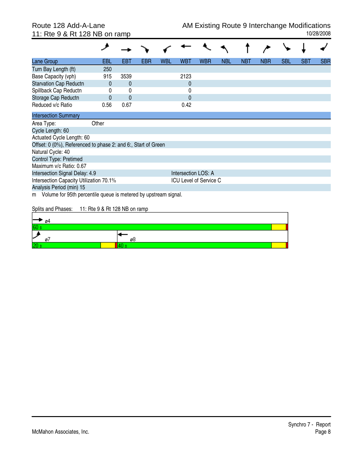11: Rte 9 & Rt 128 NB on ramp

| Lane Group                                                           | EBL                           | EBT          | <b>EBR</b> | <b>WBL</b> | WBT                 | <b>WBR</b>                    | <b>NBL</b> | <b>NBT</b> | <b>NBR</b> | <b>SBL</b> | <b>SBT</b> | SBR |
|----------------------------------------------------------------------|-------------------------------|--------------|------------|------------|---------------------|-------------------------------|------------|------------|------------|------------|------------|-----|
| Turn Bay Length (ft)                                                 | 250                           |              |            |            |                     |                               |            |            |            |            |            |     |
| Base Capacity (vph)                                                  | 915                           | 3539         |            |            | 2123                |                               |            |            |            |            |            |     |
| <b>Starvation Cap Reductn</b>                                        | $\Omega$                      | 0            |            |            | $\mathbf{0}$        |                               |            |            |            |            |            |     |
| Spillback Cap Reductn                                                | 0                             | 0            |            |            | 0                   |                               |            |            |            |            |            |     |
| Storage Cap Reductn                                                  | 0                             | $\mathbf{0}$ |            |            | $\Omega$            |                               |            |            |            |            |            |     |
| Reduced v/c Ratio                                                    | 0.56                          | 0.67         |            |            | 0.42                |                               |            |            |            |            |            |     |
| <b>Intersection Summary</b>                                          |                               |              |            |            |                     |                               |            |            |            |            |            |     |
| Area Type:                                                           | Other                         |              |            |            |                     |                               |            |            |            |            |            |     |
| Cycle Length: 60                                                     |                               |              |            |            |                     |                               |            |            |            |            |            |     |
| Actuated Cycle Length: 60                                            |                               |              |            |            |                     |                               |            |            |            |            |            |     |
| Offset: 0 (0%), Referenced to phase 2: and 6:, Start of Green        |                               |              |            |            |                     |                               |            |            |            |            |            |     |
| Natural Cycle: 40                                                    |                               |              |            |            |                     |                               |            |            |            |            |            |     |
| Control Type: Pretimed                                               |                               |              |            |            |                     |                               |            |            |            |            |            |     |
| Maximum v/c Ratio: 0.67                                              |                               |              |            |            |                     |                               |            |            |            |            |            |     |
| Intersection Signal Delay: 4.9                                       |                               |              |            |            | Intersection LOS: A |                               |            |            |            |            |            |     |
| Intersection Capacity Utilization 70.1%                              |                               |              |            |            |                     | <b>ICU Level of Service C</b> |            |            |            |            |            |     |
| Analysis Period (min) 15                                             |                               |              |            |            |                     |                               |            |            |            |            |            |     |
| Volume for 95th percentile queue is metered by upstream signal.<br>m |                               |              |            |            |                     |                               |            |            |            |            |            |     |
| Splits and Phases:                                                   | 11: Rte 9 & Rt 128 NB on ramp |              |            |            |                     |                               |            |            |            |            |            |     |
|                                                                      |                               |              |            |            |                     |                               |            |            |            |            |            |     |

| 04                         |    |  |
|----------------------------|----|--|
| IRF<br><b>START OF ALL</b> |    |  |
| ىرا<br>-                   | øb |  |
| l Ori<br>.                 |    |  |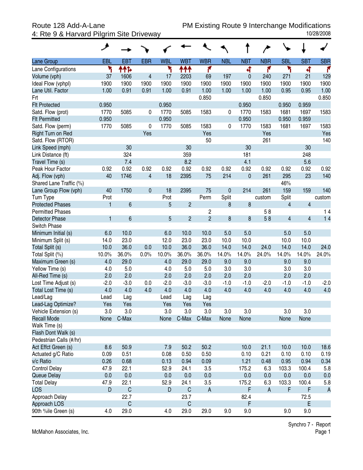## 4: Rte 9 & Harvard Pilgrim Site Driveway

|                         | ۶      |                |             |                |                |                |            |            |            |                         |                |              |
|-------------------------|--------|----------------|-------------|----------------|----------------|----------------|------------|------------|------------|-------------------------|----------------|--------------|
| Lane Group              | EBL    | <b>EBT</b>     | <b>EBR</b>  | <b>WBL</b>     | <b>WBT</b>     | <b>WBR</b>     | <b>NBL</b> | <b>NBT</b> | <b>NBR</b> | <b>SBL</b>              | <b>SBT</b>     | <b>SBR</b>   |
| Lane Configurations     | ۲      | ተተኈ            |             | ኻ              | ተተተ            | ۴              |            | 4          | ۴          | ۲                       | 4              | ۴            |
| Volume (vph)            | 37     | 1606           | 4           | 17             | 2203           | 69             | 197        | $\theta$   | 240        | 271                     | 21             | 129          |
| Ideal Flow (vphpl)      | 1900   | 1900           | 1900        | 1900           | 1900           | 1900           | 1900       | 1900       | 1900       | 1900                    | 1900           | 1900         |
| Lane Util. Factor       | 1.00   | 0.91           | 0.91        | 1.00           | 0.91           | 1.00           | 1.00       | 1.00       | 1.00       | 0.95                    | 0.95           | 1.00         |
| Frt                     |        |                |             |                |                | 0.850          |            |            | 0.850      |                         |                | 0.850        |
| <b>Flt Protected</b>    | 0.950  |                |             | 0.950          |                |                |            | 0.950      |            | 0.950                   | 0.959          |              |
| Satd. Flow (prot)       | 1770   | 5085           | 0           | 1770           | 5085           | 1583           | 0          | 1770       | 1583       | 1681                    | 1697           | 1583         |
| <b>Flt Permitted</b>    | 0.950  |                |             | 0.950          |                |                |            | 0.950      |            | 0.950                   | 0.959          |              |
| Satd. Flow (perm)       | 1770   | 5085           | 0           | 1770           | 5085           | 1583           | 0          | 1770       | 1583       | 1681                    | 1697           | 1583         |
| Right Turn on Red       |        |                | Yes         |                |                | Yes            |            |            | Yes        |                         |                | Yes          |
| Satd. Flow (RTOR)       |        |                |             |                |                | 50             |            |            | 261        |                         |                | 140          |
| Link Speed (mph)        |        | 30             |             |                | 30             |                |            | 30         |            |                         | 30             |              |
| Link Distance (ft)      |        | 324            |             |                | 359            |                |            | 181        |            |                         | 248            |              |
| Travel Time (s)         |        | 7.4            |             |                | 8.2            |                |            | 4.1        |            |                         | 5.6            |              |
| Peak Hour Factor        | 0.92   | 0.92           | 0.92        | 0.92           | 0.92           | 0.92           | 0.92       | 0.92       | 0.92       | 0.92                    | 0.92           | 0.92         |
| Adj. Flow (vph)         | 40     | 1746           | 4           | 18             | 2395           | 75             | 214        | $\pmb{0}$  | 261        | 295                     | 23             | 140          |
| Shared Lane Traffic (%) |        |                |             |                |                |                |            |            |            | 46%                     |                |              |
| Lane Group Flow (vph)   | 40     | 1750           | $\mathbf 0$ | 18             | 2395           | 75             | 0          | 214        | 261        | 159                     | 159            | 140          |
| Turn Type               | Prot   |                |             | Prot           |                | Perm           | Split      |            | custom     | Split                   |                | custom       |
| <b>Protected Phases</b> | 1      | $6\phantom{a}$ |             | $\overline{5}$ | $\overline{2}$ |                | 8          | 8          |            | 4                       | $\overline{4}$ |              |
| <b>Permitted Phases</b> |        |                |             |                |                | 2              |            |            | 58         |                         |                | 14           |
| <b>Detector Phase</b>   | 1      | 6              |             | 5              | $\overline{2}$ | $\overline{2}$ | 8          | $\bf 8$    | 58         | $\overline{\mathbf{4}}$ | $\overline{4}$ | 14           |
| Switch Phase            |        |                |             |                |                |                |            |            |            |                         |                |              |
| Minimum Initial (s)     | 6.0    | 10.0           |             | 6.0            | 10.0           | 10.0           | 5.0        | 5.0        |            | 5.0                     | 5.0            |              |
| Minimum Split (s)       | 14.0   | 23.0           |             | 12.0           | 23.0           | 23.0           | 10.0       | 10.0       |            | 10.0                    | 10.0           |              |
| Total Split (s)         | 10.0   | 36.0           | 0.0         | 10.0           | 36.0           | 36.0           | 14.0       | 14.0       | 24.0       | 14.0                    | 14.0           | 24.0         |
| Total Split (%)         | 10.0%  | 36.0%          | 0.0%        | 10.0%          | 36.0%          | 36.0%          | 14.0%      | 14.0%      | 24.0%      | 14.0%                   | 14.0%          | 24.0%        |
| Maximum Green (s)       | 4.0    | 29.0           |             | 4.0            | 29.0           | 29.0           | 9.0        | 9.0        |            | 9.0                     | 9.0            |              |
| Yellow Time (s)         | 4.0    | 5.0            |             | 4.0            | 5.0            | 5.0            | 3.0        | 3.0        |            | 3.0                     | 3.0            |              |
| All-Red Time (s)        | 2.0    | 2.0            |             | 2.0            | 2.0            | 2.0            | 2.0        | 2.0        |            | 2.0                     | 2.0            |              |
| Lost Time Adjust (s)    | $-2.0$ | $-3.0$         | 0.0         | $-2.0$         | $-3.0$         | $-3.0$         | $-1.0$     | $-1.0$     | $-2.0$     | $-1.0$                  | $-1.0$         | $-2.0$       |
| Total Lost Time (s)     | 4.0    | 4.0            | 4.0         | 4.0            | 4.0            | 4.0            | 4.0        | 4.0        | 4.0        | 4.0                     | 4.0            | 4.0          |
| Lead/Lag                | Lead   | Lag            |             | Lead           | Lag            | Lag            |            |            |            |                         |                |              |
| Lead-Lag Optimize?      | Yes    | Yes            |             | Yes            | Yes            | Yes            |            |            |            |                         |                |              |
| Vehicle Extension (s)   | 3.0    | 3.0            |             | 3.0            | 3.0            | 3.0            | 3.0        | 3.0        |            | 3.0                     | 3.0            |              |
| <b>Recall Mode</b>      | None   | C-Max          |             | None           | C-Max          | C-Max          | None       | None       |            | None                    | None           |              |
| Walk Time (s)           |        |                |             |                |                |                |            |            |            |                         |                |              |
| Flash Dont Walk (s)     |        |                |             |                |                |                |            |            |            |                         |                |              |
| Pedestrian Calls (#/hr) |        |                |             |                |                |                |            |            |            |                         |                |              |
| Act Effct Green (s)     | 8.6    | 50.9           |             | 7.9            | 50.2           | 50.2           |            | 10.0       | 21.1       | 10.0                    | 10.0           | 18.6         |
| Actuated g/C Ratio      | 0.09   | 0.51           |             | 0.08           | 0.50           | 0.50           |            | 0.10       | 0.21       | 0.10                    | 0.10           | 0.19         |
| v/c Ratio               | 0.26   | 0.68           |             | 0.13           | 0.94           | 0.09           |            | 1.21       | 0.48       | 0.95                    | 0.94           | 0.34         |
| <b>Control Delay</b>    | 47.9   | 22.1           |             | 52.9           | 24.1           | 3.5            |            | 175.2      | 6.3        | 103.3                   | 100.4          | 5.8          |
| Queue Delay             | 0.0    | 0.0            |             | 0.0            | 0.0            | 0.0            |            | 0.0        | 0.0        | 0.0                     | 0.0            | 0.0          |
| <b>Total Delay</b>      | 47.9   | 22.1           |             | 52.9           | 24.1           | 3.5            |            | 175.2      | 6.3        | 103.3                   | 100.4          | 5.8          |
| LOS                     | D      | $\mathsf C$    |             | D              | $\mathsf C$    | A              |            | F          | A          | F                       | F              | $\mathsf{A}$ |
| Approach Delay          |        | 22.7           |             |                | 23.7           |                |            | 82.4       |            |                         | 72.5           |              |
| Approach LOS            |        | $\mathsf C$    |             |                | $\mathsf C$    |                |            | F          |            |                         | E              |              |
| 90th %ile Green (s)     | 4.0    | 29.0           |             | 4.0            | 29.0           | 29.0           | 9.0        | 9.0        |            | 9.0                     | 9.0            |              |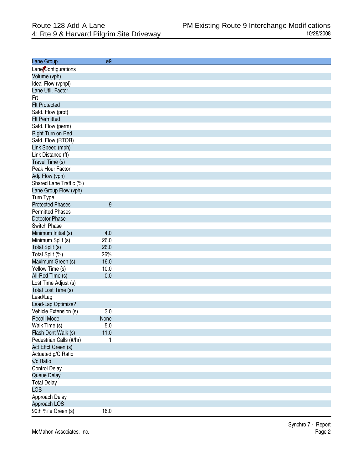| Lane Group              | ø9      |
|-------------------------|---------|
| Lane Configurations     |         |
| Volume (vph)            |         |
| Ideal Flow (vphpl)      |         |
| Lane Util. Factor       |         |
| Frt                     |         |
| <b>Flt Protected</b>    |         |
| Satd. Flow (prot)       |         |
| <b>Flt Permitted</b>    |         |
| Satd. Flow (perm)       |         |
| Right Turn on Red       |         |
| Satd. Flow (RTOR)       |         |
| Link Speed (mph)        |         |
| Link Distance (ft)      |         |
| Travel Time (s)         |         |
| Peak Hour Factor        |         |
| Adj. Flow (vph)         |         |
| Shared Lane Traffic (%) |         |
| Lane Group Flow (vph)   |         |
| Turn Type               |         |
| <b>Protected Phases</b> | 9       |
| <b>Permitted Phases</b> |         |
| <b>Detector Phase</b>   |         |
| Switch Phase            |         |
| Minimum Initial (s)     | 4.0     |
| Minimum Split (s)       | 26.0    |
| Total Split (s)         | 26.0    |
| Total Split (%)         | 26%     |
| Maximum Green (s)       | 16.0    |
| Yellow Time (s)         | 10.0    |
| All-Red Time (s)        | 0.0     |
| Lost Time Adjust (s)    |         |
| Total Lost Time (s)     |         |
| Lead/Lag                |         |
| Lead-Lag Optimize?      |         |
| Vehicle Extension (s)   | 3.0     |
| <b>Recall Mode</b>      | None    |
| Walk Time (s)           | $5.0\,$ |
| Flash Dont Walk (s)     | 11.0    |
| Pedestrian Calls (#/hr) | 1       |
| Act Effct Green (s)     |         |
| Actuated g/C Ratio      |         |
| v/c Ratio               |         |
| <b>Control Delay</b>    |         |
| Queue Delay             |         |
| <b>Total Delay</b>      |         |
| <b>LOS</b>              |         |
| Approach Delay          |         |
| Approach LOS            |         |
| 90th %ile Green (s)     | 16.0    |
|                         |         |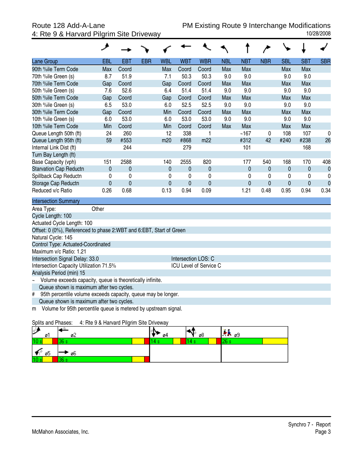|                                                                                    | عر          |              |            |             |              |                        |            |              |             |            |            |                  |
|------------------------------------------------------------------------------------|-------------|--------------|------------|-------------|--------------|------------------------|------------|--------------|-------------|------------|------------|------------------|
| Lane Group                                                                         | <b>EBL</b>  | <b>EBT</b>   | <b>EBR</b> | <b>WBL</b>  | <b>WBT</b>   | <b>WBR</b>             | <b>NBL</b> | <b>NBT</b>   | <b>NBR</b>  | <b>SBL</b> | <b>SBT</b> | <b>SBR</b>       |
| 90th %ile Term Code                                                                | Max         | Coord        |            | Max         | Coord        | Coord                  | Max        | Max          |             | Max        | Max        |                  |
| 70th %ile Green (s)                                                                | 8.7         | 51.9         |            | 7.1         | 50.3         | 50.3                   | 9.0        | 9.0          |             | 9.0        | 9.0        |                  |
| 70th %ile Term Code                                                                | Gap         | Coord        |            | Gap         | Coord        | Coord                  | Max        | Max          |             | Max        | Max        |                  |
| 50th %ile Green (s)                                                                | 7.6         | 52.6         |            | 6.4         | 51.4         | 51.4                   | 9.0        | 9.0          |             | 9.0        | 9.0        |                  |
| 50th %ile Term Code                                                                | Gap         | Coord        |            | Gap         | Coord        | Coord                  | Max        | Max          |             | Max        | Max        |                  |
| 30th %ile Green (s)                                                                | 6.5         | 53.0         |            | 6.0         | 52.5         | 52.5                   | 9.0        | 9.0          |             | 9.0        | 9.0        |                  |
| 30th %ile Term Code                                                                | Gap         | Coord        |            | Min         | Coord        | Coord                  | Max        | Max          |             | Max        | Max        |                  |
| 10th %ile Green (s)                                                                | 6.0         | 53.0         |            | 6.0         | 53.0         | 53.0                   | 9.0        | 9.0          |             | 9.0        | 9.0        |                  |
| 10th %ile Term Code                                                                | Min         | Coord        |            | Min         | Coord        | Coord                  | Max        | Max          |             | Max        | Max        |                  |
| Queue Length 50th (ft)                                                             | 24          | 260          |            | 12          | 338          | 1                      |            | ~167         | $\mathbf 0$ | 108        | 107        | 0                |
| Queue Length 95th (ft)                                                             | 59          | #553         |            | m20         | #868         | m22                    |            | #312         | 42          | #240       | #238       | 26               |
| Internal Link Dist (ft)                                                            |             | 244          |            |             | 279          |                        |            | 101          |             |            | 168        |                  |
| Turn Bay Length (ft)                                                               |             |              |            |             |              |                        |            |              |             |            |            |                  |
| Base Capacity (vph)                                                                | 151         | 2588         |            | 140         | 2555         | 820                    |            | 177          | 540         | 168        | 170        | 408              |
| <b>Starvation Cap Reductn</b>                                                      | $\mathbf 0$ | $\mathbf 0$  |            | $\mathbf 0$ | $\pmb{0}$    | $\mathbf 0$            |            | $\pmb{0}$    | $\mathbf 0$ | 0          | 0          | $\boldsymbol{0}$ |
| Spillback Cap Reductn                                                              | $\mathbf 0$ | $\mathbf 0$  |            | 0           | $\mathbf 0$  | $\mathbf 0$            |            | $\mathbf{0}$ | $\mathbf 0$ | 0          | 0          | 0                |
| Storage Cap Reductn                                                                | $\mathbf 0$ | $\mathbf{0}$ |            | $\mathbf 0$ | $\mathbf{0}$ | $\mathbf{0}$           |            | $\mathbf 0$  | $\mathbf 0$ | 0          | 0          | $\overline{0}$   |
| Reduced v/c Ratio                                                                  | 0.26        | 0.68         |            | 0.13        | 0.94         | 0.09                   |            | 1.21         | 0.48        | 0.95       | 0.94       | 0.34             |
| <b>Intersection Summary</b>                                                        |             |              |            |             |              |                        |            |              |             |            |            |                  |
| Area Type:                                                                         | Other       |              |            |             |              |                        |            |              |             |            |            |                  |
| Cycle Length: 100                                                                  |             |              |            |             |              |                        |            |              |             |            |            |                  |
| Actuated Cycle Length: 100                                                         |             |              |            |             |              |                        |            |              |             |            |            |                  |
| Offset: 0 (0%), Referenced to phase 2:WBT and 6:EBT, Start of Green                |             |              |            |             |              |                        |            |              |             |            |            |                  |
| Natural Cycle: 145                                                                 |             |              |            |             |              |                        |            |              |             |            |            |                  |
| Control Type: Actuated-Coordinated                                                 |             |              |            |             |              |                        |            |              |             |            |            |                  |
| Maximum v/c Ratio: 1.21                                                            |             |              |            |             |              |                        |            |              |             |            |            |                  |
| Intersection Signal Delay: 33.0                                                    |             |              |            |             |              | Intersection LOS: C    |            |              |             |            |            |                  |
| Intersection Capacity Utilization 71.5%                                            |             |              |            |             |              | ICU Level of Service C |            |              |             |            |            |                  |
| Analysis Period (min) 15                                                           |             |              |            |             |              |                        |            |              |             |            |            |                  |
| Volume exceeds capacity, queue is theoretically infinite.<br>$\tilde{\phantom{a}}$ |             |              |            |             |              |                        |            |              |             |            |            |                  |
| Queue shown is maximum after two cycles.                                           |             |              |            |             |              |                        |            |              |             |            |            |                  |
| 95th percentile volume exceeds capacity, queue may be longer.<br>#                 |             |              |            |             |              |                        |            |              |             |            |            |                  |
| Queue shown is maximum after two cycles.                                           |             |              |            |             |              |                        |            |              |             |            |            |                  |
| Volume for 95th percentile queue is metered by upstream signal.<br>m               |             |              |            |             |              |                        |            |              |             |            |            |                  |

### Splits and Phases: 4: Rte 9 & Harvard Pilgrim Site Driveway

| l C<br>E<br>øΙ  | ø۷           | 04 | ø8 | $AB = 9$ |
|-----------------|--------------|----|----|----------|
| 10 s            | 26.<br>w     |    |    | lоg<br>້ |
| ø5<br>Тſ        | ø6           |    |    |          |
| 10 <sub>1</sub> | <b>COLOR</b> |    |    |          |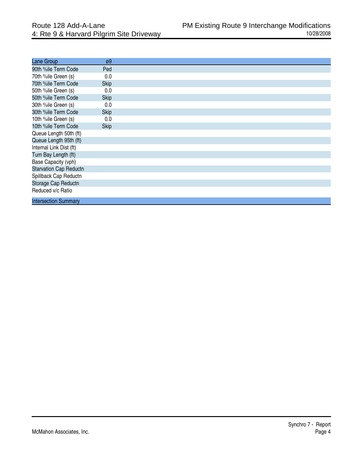| Lane Group                    | $\varnothing9$ |
|-------------------------------|----------------|
| 90th %ile Term Code           | Ped            |
| 70th %ile Green (s)           | 0.0            |
| 70th %ile Term Code           | <b>Skip</b>    |
| 50th %ile Green (s)           | 0.0            |
| 50th %ile Term Code           | <b>Skip</b>    |
| 30th %ile Green (s)           | 0.0            |
| 30th %ile Term Code           | <b>Skip</b>    |
| 10th %ile Green (s)           | 0.0            |
| 10th %ile Term Code           | <b>Skip</b>    |
| Queue Length 50th (ft)        |                |
| Queue Length 95th (ft)        |                |
| Internal Link Dist (ft)       |                |
| Turn Bay Length (ft)          |                |
| Base Capacity (vph)           |                |
| <b>Starvation Cap Reductn</b> |                |
| Spillback Cap Reductn         |                |
| Storage Cap Reductn           |                |
| Reduced v/c Ratio             |                |
| <b>Intersection Summary</b>   |                |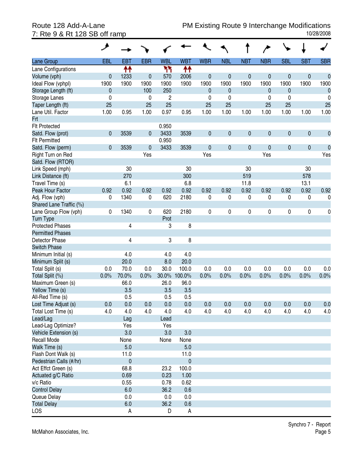| <b>SBL</b><br><b>EBR</b><br><b>WBL</b><br><b>WBT</b><br><b>WBR</b><br><b>NBL</b><br><b>NBT</b><br><b>NBR</b><br><b>SBT</b><br><b>SBR</b><br><b>EBL</b><br><b>EBT</b><br>Lane Group<br>↟↟<br>ካካ<br>↟↟<br>Lane Configurations<br>$\mathbf 0$<br>$\mathbf{0}$<br>1233<br>$\mathbf 0$<br>$\mathbf 0$<br>$\mathbf 0$<br>0<br>$\pmb{0}$<br>$\pmb{0}$<br>Volume (vph)<br>0<br>570<br>2006<br>1900<br>1900<br>1900<br>1900<br>1900<br>1900<br>1900<br>1900<br>1900<br>1900<br>1900<br>1900<br>Ideal Flow (vphpl)<br>100<br>250<br>Storage Length (ft)<br>$\mathbf{0}$<br>$\mathbf{0}$<br>$\mathbf{0}$<br>0<br>$\mathbf{0}$<br>$\boldsymbol{0}$<br>0<br>$\overline{c}$<br>Storage Lanes<br>0<br>0<br>0<br>0<br>0<br>0<br>25<br>25<br>25<br>Taper Length (ft)<br>25<br>25<br>25<br>25<br>25<br>1.00<br>1.00<br>0.95<br>1.00<br>0.97<br>0.95<br>1.00<br>1.00<br>1.00<br>1.00<br>1.00<br>1.00<br>Lane Util. Factor<br>Frt<br><b>Flt Protected</b><br>0.950<br>$\mathbf{0}$<br>$\pmb{0}$<br>0<br>$\pmb{0}$<br>Satd. Flow (prot)<br>3539<br>3433<br>3539<br>$\pmb{0}$<br>$\pmb{0}$<br>$\pmb{0}$<br>0<br>$\mathbf{0}$ |
|--------------------------------------------------------------------------------------------------------------------------------------------------------------------------------------------------------------------------------------------------------------------------------------------------------------------------------------------------------------------------------------------------------------------------------------------------------------------------------------------------------------------------------------------------------------------------------------------------------------------------------------------------------------------------------------------------------------------------------------------------------------------------------------------------------------------------------------------------------------------------------------------------------------------------------------------------------------------------------------------------------------------------------------------------------------------------------------------------------|
|                                                                                                                                                                                                                                                                                                                                                                                                                                                                                                                                                                                                                                                                                                                                                                                                                                                                                                                                                                                                                                                                                                        |
|                                                                                                                                                                                                                                                                                                                                                                                                                                                                                                                                                                                                                                                                                                                                                                                                                                                                                                                                                                                                                                                                                                        |
|                                                                                                                                                                                                                                                                                                                                                                                                                                                                                                                                                                                                                                                                                                                                                                                                                                                                                                                                                                                                                                                                                                        |
|                                                                                                                                                                                                                                                                                                                                                                                                                                                                                                                                                                                                                                                                                                                                                                                                                                                                                                                                                                                                                                                                                                        |
|                                                                                                                                                                                                                                                                                                                                                                                                                                                                                                                                                                                                                                                                                                                                                                                                                                                                                                                                                                                                                                                                                                        |
|                                                                                                                                                                                                                                                                                                                                                                                                                                                                                                                                                                                                                                                                                                                                                                                                                                                                                                                                                                                                                                                                                                        |
|                                                                                                                                                                                                                                                                                                                                                                                                                                                                                                                                                                                                                                                                                                                                                                                                                                                                                                                                                                                                                                                                                                        |
|                                                                                                                                                                                                                                                                                                                                                                                                                                                                                                                                                                                                                                                                                                                                                                                                                                                                                                                                                                                                                                                                                                        |
|                                                                                                                                                                                                                                                                                                                                                                                                                                                                                                                                                                                                                                                                                                                                                                                                                                                                                                                                                                                                                                                                                                        |
|                                                                                                                                                                                                                                                                                                                                                                                                                                                                                                                                                                                                                                                                                                                                                                                                                                                                                                                                                                                                                                                                                                        |
|                                                                                                                                                                                                                                                                                                                                                                                                                                                                                                                                                                                                                                                                                                                                                                                                                                                                                                                                                                                                                                                                                                        |
| 0.950<br><b>Flt Permitted</b>                                                                                                                                                                                                                                                                                                                                                                                                                                                                                                                                                                                                                                                                                                                                                                                                                                                                                                                                                                                                                                                                          |
| $\pmb{0}$<br>$\mathbf{0}$<br>$\pmb{0}$<br>0<br>$\pmb{0}$<br>$\pmb{0}$<br>$\pmb{0}$<br>Satd. Flow (perm)<br>0<br>3539<br>$\mathbf 0$<br>3433<br>3539                                                                                                                                                                                                                                                                                                                                                                                                                                                                                                                                                                                                                                                                                                                                                                                                                                                                                                                                                    |
| Yes<br>Yes<br>Yes<br>Yes<br>Right Turn on Red                                                                                                                                                                                                                                                                                                                                                                                                                                                                                                                                                                                                                                                                                                                                                                                                                                                                                                                                                                                                                                                          |
| Satd. Flow (RTOR)                                                                                                                                                                                                                                                                                                                                                                                                                                                                                                                                                                                                                                                                                                                                                                                                                                                                                                                                                                                                                                                                                      |
| 30<br>Link Speed (mph)<br>30<br>30<br>30                                                                                                                                                                                                                                                                                                                                                                                                                                                                                                                                                                                                                                                                                                                                                                                                                                                                                                                                                                                                                                                               |
| 270<br>300<br>519<br>578<br>Link Distance (ft)                                                                                                                                                                                                                                                                                                                                                                                                                                                                                                                                                                                                                                                                                                                                                                                                                                                                                                                                                                                                                                                         |
| 6.1<br>6.8<br>13.1<br>Travel Time (s)<br>11.8                                                                                                                                                                                                                                                                                                                                                                                                                                                                                                                                                                                                                                                                                                                                                                                                                                                                                                                                                                                                                                                          |
| 0.92<br>0.92<br>Peak Hour Factor<br>0.92<br>0.92<br>0.92<br>0.92<br>0.92<br>0.92<br>0.92<br>0.92<br>0.92<br>0.92                                                                                                                                                                                                                                                                                                                                                                                                                                                                                                                                                                                                                                                                                                                                                                                                                                                                                                                                                                                       |
| 1340<br>620<br>2180<br>0<br>0<br>Adj. Flow (vph)<br>0<br>0<br>0<br>0<br>0<br>0<br>0                                                                                                                                                                                                                                                                                                                                                                                                                                                                                                                                                                                                                                                                                                                                                                                                                                                                                                                                                                                                                    |
| Shared Lane Traffic (%)                                                                                                                                                                                                                                                                                                                                                                                                                                                                                                                                                                                                                                                                                                                                                                                                                                                                                                                                                                                                                                                                                |
| 0<br>$\pmb{0}$<br>2180<br>0<br>0<br>0<br>$\pmb{0}$<br>0<br>Lane Group Flow (vph)<br>1340<br>620<br>0<br>0                                                                                                                                                                                                                                                                                                                                                                                                                                                                                                                                                                                                                                                                                                                                                                                                                                                                                                                                                                                              |
| <b>Turn Type</b><br>Prot                                                                                                                                                                                                                                                                                                                                                                                                                                                                                                                                                                                                                                                                                                                                                                                                                                                                                                                                                                                                                                                                               |
| 8<br><b>Protected Phases</b><br>3<br>4                                                                                                                                                                                                                                                                                                                                                                                                                                                                                                                                                                                                                                                                                                                                                                                                                                                                                                                                                                                                                                                                 |
| <b>Permitted Phases</b>                                                                                                                                                                                                                                                                                                                                                                                                                                                                                                                                                                                                                                                                                                                                                                                                                                                                                                                                                                                                                                                                                |
| 3<br>8<br>Detector Phase<br>4                                                                                                                                                                                                                                                                                                                                                                                                                                                                                                                                                                                                                                                                                                                                                                                                                                                                                                                                                                                                                                                                          |
| <b>Switch Phase</b>                                                                                                                                                                                                                                                                                                                                                                                                                                                                                                                                                                                                                                                                                                                                                                                                                                                                                                                                                                                                                                                                                    |
| 4.0<br>Minimum Initial (s)<br>4.0<br>4.0                                                                                                                                                                                                                                                                                                                                                                                                                                                                                                                                                                                                                                                                                                                                                                                                                                                                                                                                                                                                                                                               |
| 8.0<br>20.0<br>20.0<br>Minimum Split (s)                                                                                                                                                                                                                                                                                                                                                                                                                                                                                                                                                                                                                                                                                                                                                                                                                                                                                                                                                                                                                                                               |
| 0.0<br>70.0<br>0.0<br>30.0<br>100.0<br>0.0<br>0.0<br>Total Split (s)<br>0.0<br>0.0<br>0.0<br>0.0<br>0.0                                                                                                                                                                                                                                                                                                                                                                                                                                                                                                                                                                                                                                                                                                                                                                                                                                                                                                                                                                                                |
| 0.0%<br>0.0%<br>70.0%<br>0.0%<br>30.0%<br>100.0%<br>0.0%<br>0.0%<br>0.0%<br>0.0%<br>0.0%<br>0.0%<br>Total Split (%)                                                                                                                                                                                                                                                                                                                                                                                                                                                                                                                                                                                                                                                                                                                                                                                                                                                                                                                                                                                    |
| 66.0<br>96.0<br>Maximum Green (s)<br>26.0                                                                                                                                                                                                                                                                                                                                                                                                                                                                                                                                                                                                                                                                                                                                                                                                                                                                                                                                                                                                                                                              |
| 3.5<br>3.5<br>3.5<br>Yellow Time (s)                                                                                                                                                                                                                                                                                                                                                                                                                                                                                                                                                                                                                                                                                                                                                                                                                                                                                                                                                                                                                                                                   |
| 0.5<br>All-Red Time (s)<br>0.5<br>0.5                                                                                                                                                                                                                                                                                                                                                                                                                                                                                                                                                                                                                                                                                                                                                                                                                                                                                                                                                                                                                                                                  |
| 0.0<br>0.0<br>0.0<br>0.0<br>0.0<br>0.0<br>0.0<br>0.0<br>0.0<br>0.0<br>0.0<br>Lost Time Adjust (s)<br>0.0                                                                                                                                                                                                                                                                                                                                                                                                                                                                                                                                                                                                                                                                                                                                                                                                                                                                                                                                                                                               |
| Total Lost Time (s)<br>4.0<br>4.0<br>4.0<br>4.0<br>4.0<br>4.0<br>4.0<br>4.0<br>4.0<br>4.0<br>4.0<br>4.0                                                                                                                                                                                                                                                                                                                                                                                                                                                                                                                                                                                                                                                                                                                                                                                                                                                                                                                                                                                                |
| Lead/Lag<br>Lag<br>Lead                                                                                                                                                                                                                                                                                                                                                                                                                                                                                                                                                                                                                                                                                                                                                                                                                                                                                                                                                                                                                                                                                |
| Lead-Lag Optimize?<br>Yes<br>Yes                                                                                                                                                                                                                                                                                                                                                                                                                                                                                                                                                                                                                                                                                                                                                                                                                                                                                                                                                                                                                                                                       |
| Vehicle Extension (s)<br>3.0<br>3.0<br>3.0                                                                                                                                                                                                                                                                                                                                                                                                                                                                                                                                                                                                                                                                                                                                                                                                                                                                                                                                                                                                                                                             |
| Recall Mode<br>None<br>None<br>None                                                                                                                                                                                                                                                                                                                                                                                                                                                                                                                                                                                                                                                                                                                                                                                                                                                                                                                                                                                                                                                                    |
| Walk Time (s)<br>5.0<br>5.0                                                                                                                                                                                                                                                                                                                                                                                                                                                                                                                                                                                                                                                                                                                                                                                                                                                                                                                                                                                                                                                                            |
| Flash Dont Walk (s)<br>11.0<br>11.0                                                                                                                                                                                                                                                                                                                                                                                                                                                                                                                                                                                                                                                                                                                                                                                                                                                                                                                                                                                                                                                                    |
| $\mathbf 0$<br>$\pmb{0}$<br>Pedestrian Calls (#/hr)                                                                                                                                                                                                                                                                                                                                                                                                                                                                                                                                                                                                                                                                                                                                                                                                                                                                                                                                                                                                                                                    |
| Act Effct Green (s)<br>100.0<br>68.8<br>23.2                                                                                                                                                                                                                                                                                                                                                                                                                                                                                                                                                                                                                                                                                                                                                                                                                                                                                                                                                                                                                                                           |
| Actuated g/C Ratio<br>0.69<br>0.23<br>1.00                                                                                                                                                                                                                                                                                                                                                                                                                                                                                                                                                                                                                                                                                                                                                                                                                                                                                                                                                                                                                                                             |
| v/c Ratio<br>0.55<br>0.78<br>0.62                                                                                                                                                                                                                                                                                                                                                                                                                                                                                                                                                                                                                                                                                                                                                                                                                                                                                                                                                                                                                                                                      |
| <b>Control Delay</b><br>6.0<br>36.2<br>0.6                                                                                                                                                                                                                                                                                                                                                                                                                                                                                                                                                                                                                                                                                                                                                                                                                                                                                                                                                                                                                                                             |
| 0.0<br>Queue Delay<br>0.0<br>0.0                                                                                                                                                                                                                                                                                                                                                                                                                                                                                                                                                                                                                                                                                                                                                                                                                                                                                                                                                                                                                                                                       |
| 6.0<br>36.2<br>0.6<br><b>Total Delay</b>                                                                                                                                                                                                                                                                                                                                                                                                                                                                                                                                                                                                                                                                                                                                                                                                                                                                                                                                                                                                                                                               |
| LOS<br>A<br>D<br>A                                                                                                                                                                                                                                                                                                                                                                                                                                                                                                                                                                                                                                                                                                                                                                                                                                                                                                                                                                                                                                                                                     |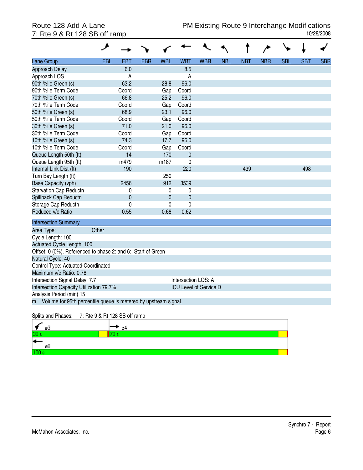# 7: Rte 9 & Rt 128 SB off ramp

|                                                               | خر                                                                |             |            |             |                               |            |            |            |            |            |            |            |
|---------------------------------------------------------------|-------------------------------------------------------------------|-------------|------------|-------------|-------------------------------|------------|------------|------------|------------|------------|------------|------------|
| Lane Group                                                    | <b>EBL</b>                                                        | <b>EBT</b>  | <b>EBR</b> | <b>WBL</b>  | <b>WBT</b>                    | <b>WBR</b> | <b>NBL</b> | <b>NBT</b> | <b>NBR</b> | <b>SBL</b> | <b>SBT</b> | <b>SBR</b> |
| Approach Delay                                                |                                                                   | 6.0         |            |             | 8.5                           |            |            |            |            |            |            |            |
| Approach LOS                                                  |                                                                   | A           |            |             | A                             |            |            |            |            |            |            |            |
| 90th %ile Green (s)                                           |                                                                   | 63.2        |            | 28.8        | 96.0                          |            |            |            |            |            |            |            |
| 90th %ile Term Code                                           |                                                                   | Coord       |            | Gap         | Coord                         |            |            |            |            |            |            |            |
| 70th %ile Green (s)                                           |                                                                   | 66.8        |            | 25.2        | 96.0                          |            |            |            |            |            |            |            |
| 70th %ile Term Code                                           |                                                                   | Coord       |            | Gap         | Coord                         |            |            |            |            |            |            |            |
| 50th %ile Green (s)                                           |                                                                   | 68.9        |            | 23.1        | 96.0                          |            |            |            |            |            |            |            |
| 50th %ile Term Code                                           |                                                                   | Coord       |            | Gap         | Coord                         |            |            |            |            |            |            |            |
| 30th %ile Green (s)                                           |                                                                   | 71.0        |            | 21.0        | 96.0                          |            |            |            |            |            |            |            |
| 30th %ile Term Code                                           |                                                                   | Coord       |            | Gap         | Coord                         |            |            |            |            |            |            |            |
| 10th %ile Green (s)                                           |                                                                   | 74.3        |            | 17.7        | 96.0                          |            |            |            |            |            |            |            |
| 10th %ile Term Code                                           |                                                                   | Coord       |            | Gap         | Coord                         |            |            |            |            |            |            |            |
| Queue Length 50th (ft)                                        |                                                                   | 14          |            | 170         | $\mathbf 0$                   |            |            |            |            |            |            |            |
| Queue Length 95th (ft)                                        |                                                                   | m479        |            | m187        | $\mathbf 0$                   |            |            |            |            |            |            |            |
| Internal Link Dist (ft)                                       |                                                                   | 190         |            |             | 220                           |            |            | 439        |            |            | 498        |            |
| Turn Bay Length (ft)                                          |                                                                   |             |            | 250         |                               |            |            |            |            |            |            |            |
| Base Capacity (vph)                                           |                                                                   | 2456        |            | 912         | 3539                          |            |            |            |            |            |            |            |
| <b>Starvation Cap Reductn</b>                                 |                                                                   | 0           |            | 0           | 0                             |            |            |            |            |            |            |            |
| Spillback Cap Reductn                                         |                                                                   | $\mathbf 0$ |            | $\mathbf 0$ | $\overline{0}$                |            |            |            |            |            |            |            |
| Storage Cap Reductn                                           |                                                                   | 0           |            | 0           | 0                             |            |            |            |            |            |            |            |
| Reduced v/c Ratio                                             |                                                                   | 0.55        |            | 0.68        | 0.62                          |            |            |            |            |            |            |            |
| <b>Intersection Summary</b>                                   |                                                                   |             |            |             |                               |            |            |            |            |            |            |            |
| Area Type:                                                    | Other                                                             |             |            |             |                               |            |            |            |            |            |            |            |
| Cycle Length: 100                                             |                                                                   |             |            |             |                               |            |            |            |            |            |            |            |
| Actuated Cycle Length: 100                                    |                                                                   |             |            |             |                               |            |            |            |            |            |            |            |
| Offset: 0 (0%), Referenced to phase 2: and 6:, Start of Green |                                                                   |             |            |             |                               |            |            |            |            |            |            |            |
| Natural Cycle: 40                                             |                                                                   |             |            |             |                               |            |            |            |            |            |            |            |
| Control Type: Actuated-Coordinated                            |                                                                   |             |            |             |                               |            |            |            |            |            |            |            |
|                                                               | Maximum v/c Ratio: 0.78                                           |             |            |             |                               |            |            |            |            |            |            |            |
|                                                               | Intersection LOS: A<br>Intersection Signal Delay: 7.7             |             |            |             |                               |            |            |            |            |            |            |            |
| Intersection Capacity Utilization 79.7%                       |                                                                   |             |            |             | <b>ICU Level of Service D</b> |            |            |            |            |            |            |            |
| Analysis Period (min) 15                                      |                                                                   |             |            |             |                               |            |            |            |            |            |            |            |
|                                                               | m Volume for 95th percentile queue is metered by upstream signal. |             |            |             |                               |            |            |            |            |            |            |            |
|                                                               |                                                                   |             |            |             |                               |            |            |            |            |            |            |            |

### Splits and Phases: 7: Rte 9 & Rt 128 SB off ramp

| øЗ<br>. .       | - ø4 |  |
|-----------------|------|--|
| 30 <sub>3</sub> |      |  |
| .,<br>r.        |      |  |
| ø8              |      |  |
|                 |      |  |
|                 |      |  |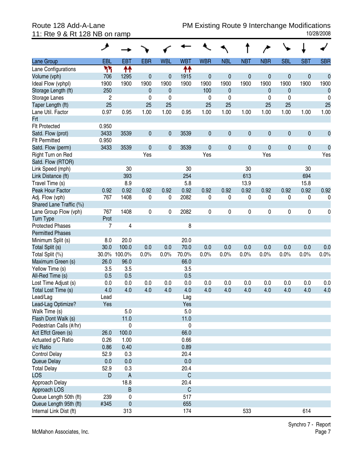|                                  | هر             |                                  |             |            |                     |             |              |             |              |            |            |              |
|----------------------------------|----------------|----------------------------------|-------------|------------|---------------------|-------------|--------------|-------------|--------------|------------|------------|--------------|
| <b>Lane Group</b>                | EBL            | <b>EBT</b>                       | <b>EBR</b>  | <b>WBL</b> | <b>WBT</b>          | <b>WBR</b>  | <b>NBL</b>   | <b>NBT</b>  | <b>NBR</b>   | <b>SBL</b> | <b>SBT</b> | <b>SBR</b>   |
| Lane Configurations              | ካካ             | ↟↟                               |             |            | ቶቶ                  |             |              |             |              |            |            |              |
| Volume (vph)                     | 706            | 1295                             | $\mathbf 0$ | 0          | 1915                | $\mathbf 0$ | $\mathbf 0$  | $\mathbf 0$ | 0            | 0          | 0          | $\mathbf{0}$ |
| Ideal Flow (vphpl)               | 1900           | 1900                             | 1900        | 1900       | 1900                | 1900        | 1900         | 1900        | 1900         | 1900       | 1900       | 1900         |
| Storage Length (ft)              | 250            |                                  | 0           | 0          |                     | 100         | $\mathbf{0}$ |             | $\mathbf{0}$ | 0          |            | $\mathbf 0$  |
| Storage Lanes                    | $\overline{2}$ |                                  | 0           | 0          |                     | 0           | 0            |             | 0            | 0          |            | 0            |
| Taper Length (ft)                | 25             |                                  | 25          | 25         |                     | 25          | 25           |             | 25           | 25         |            | 25           |
| Lane Util. Factor                | 0.97           | 0.95                             | 1.00        | 1.00       | 0.95                | 1.00        | 1.00         | 1.00        | 1.00         | 1.00       | 1.00       | 1.00         |
| <b>Frt</b>                       |                |                                  |             |            |                     |             |              |             |              |            |            |              |
| <b>Flt Protected</b>             | 0.950          |                                  |             |            |                     |             |              |             |              |            |            |              |
| Satd. Flow (prot)                | 3433           | 3539                             | 0           | 0          | 3539                | $\pmb{0}$   | $\mathbf 0$  | $\mathbf 0$ | 0            | 0          | $\pmb{0}$  | $\mathbf 0$  |
| <b>Flt Permitted</b>             | 0.950          |                                  |             |            |                     |             |              |             |              |            |            |              |
| Satd. Flow (perm)                | 3433           | 3539                             | $\mathbf 0$ | 0          | 3539                | $\mathbf 0$ | $\mathbf 0$  | $\mathbf 0$ | 0            | 0          | $\pmb{0}$  | $\mathbf 0$  |
| Right Turn on Red                |                |                                  | Yes         |            |                     | Yes         |              |             | Yes          |            |            | Yes          |
| Satd. Flow (RTOR)                |                |                                  |             |            |                     |             |              |             |              |            |            |              |
| Link Speed (mph)                 |                | 30                               |             |            | 30                  |             |              | 30          |              |            | 30         |              |
| Link Distance (ft)               |                | 393                              |             |            | 254                 |             |              | 613         |              |            | 694        |              |
| Travel Time (s)                  |                | 8.9                              |             |            | 5.8                 |             |              | 13.9        |              |            | 15.8       |              |
| Peak Hour Factor                 | 0.92           | 0.92                             | 0.92        | 0.92       | 0.92                | 0.92        | 0.92         | 0.92        | 0.92         | 0.92       | 0.92       | 0.92         |
| Adj. Flow (vph)                  | 767            | 1408                             | 0           | 0          | 2082                | 0           | 0            | 0           | 0            | 0          | 0          | 0            |
| Shared Lane Traffic (%)          |                |                                  |             |            |                     |             |              |             |              |            |            |              |
| Lane Group Flow (vph)            | 767            | 1408                             | 0           | 0          | 2082                | $\pmb{0}$   | 0            | 0           | 0            | 0          | $\pmb{0}$  | 0            |
| <b>Turn Type</b>                 | Prot           |                                  |             |            |                     |             |              |             |              |            |            |              |
| <b>Protected Phases</b>          | 7              | 4                                |             |            | 8                   |             |              |             |              |            |            |              |
| <b>Permitted Phases</b>          |                |                                  |             |            |                     |             |              |             |              |            |            |              |
| Minimum Split (s)                | 8.0            | 20.0                             |             |            | 20.0                |             |              |             |              |            |            |              |
| Total Split (s)                  | 30.0           | 100.0                            | 0.0         | 0.0        | 70.0                | 0.0         | 0.0          | 0.0         | 0.0          | 0.0        | 0.0        | 0.0          |
| Total Split (%)                  |                | 30.0% 100.0%                     | 0.0%        | 0.0%       | 70.0%               | 0.0%        | 0.0%         | 0.0%        | 0.0%         | 0.0%       | 0.0%       | 0.0%         |
| Maximum Green (s)                | 26.0           | 96.0                             |             |            | 66.0                |             |              |             |              |            |            |              |
| Yellow Time (s)                  | 3.5            | 3.5                              |             |            | 3.5                 |             |              |             |              |            |            |              |
| All-Red Time (s)                 | 0.5            | 0.5                              |             |            | 0.5                 |             |              |             |              |            |            |              |
| Lost Time Adjust (s)             | 0.0            | 0.0                              | 0.0         | 0.0        | 0.0                 | 0.0         | 0.0          | 0.0         | 0.0          | 0.0        | 0.0        | 0.0          |
| Total Lost Time (s)              | 4.0            | 4.0                              | 4.0         | 4.0        | 4.0                 | 4.0         | 4.0          | 4.0         | 4.0          | 4.0        | 4.0        | 4.0          |
| Lead/Lag                         | Lead           |                                  |             |            | Lag                 |             |              |             |              |            |            |              |
| Lead-Lag Optimize?               | Yes            |                                  |             |            | Yes                 |             |              |             |              |            |            |              |
| Walk Time (s)                    |                | 5.0                              |             |            | 5.0                 |             |              |             |              |            |            |              |
| Flash Dont Walk (s)              |                | 11.0                             |             |            | 11.0                |             |              |             |              |            |            |              |
| Pedestrian Calls (#/hr)          |                | 0                                |             |            | 0                   |             |              |             |              |            |            |              |
| Act Effct Green (s)              | 26.0           | 100.0                            |             |            | 66.0                |             |              |             |              |            |            |              |
| Actuated g/C Ratio               | 0.26           | 1.00                             |             |            | 0.66                |             |              |             |              |            |            |              |
| v/c Ratio                        | 0.86           | 0.40                             |             |            | 0.89                |             |              |             |              |            |            |              |
| <b>Control Delay</b>             | 52.9           | 0.3                              |             |            | 20.4                |             |              |             |              |            |            |              |
| Queue Delay                      | 0.0            | 0.0                              |             |            | 0.0                 |             |              |             |              |            |            |              |
| <b>Total Delay</b><br><b>LOS</b> | 52.9<br>D      | 0.3<br>$\boldsymbol{\mathsf{A}}$ |             |            | 20.4<br>$\mathsf C$ |             |              |             |              |            |            |              |
|                                  |                |                                  |             |            | 20.4                |             |              |             |              |            |            |              |
| Approach Delay<br>Approach LOS   |                | 18.8<br>$\sf B$                  |             |            | $\mathsf C$         |             |              |             |              |            |            |              |
| Queue Length 50th (ft)           | 239            | 0                                |             |            | 517                 |             |              |             |              |            |            |              |
| Queue Length 95th (ft)           | #345           | $\pmb{0}$                        |             |            | 655                 |             |              |             |              |            |            |              |
| Internal Link Dist (ft)          |                | 313                              |             |            | 174                 |             |              | 533         |              |            | 614        |              |
|                                  |                |                                  |             |            |                     |             |              |             |              |            |            |              |